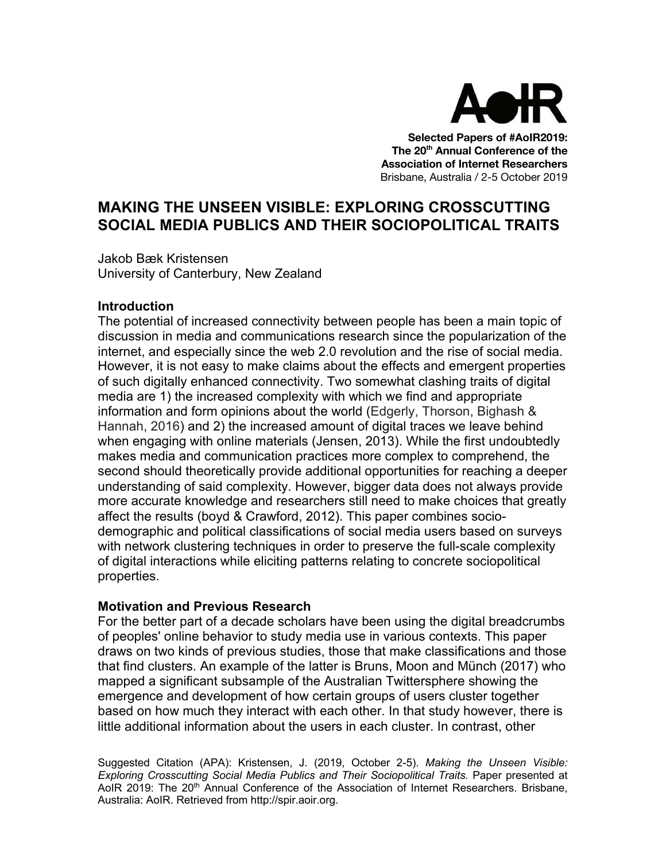

**Selected Papers of #AoIR2019: The 20th Annual Conference of the Association of Internet Researchers** Brisbane, Australia / 2-5 October 2019

# **MAKING THE UNSEEN VISIBLE: EXPLORING CROSSCUTTING SOCIAL MEDIA PUBLICS AND THEIR SOCIOPOLITICAL TRAITS**

Jakob Bæk Kristensen University of Canterbury, New Zealand

## **Introduction**

The potential of increased connectivity between people has been a main topic of discussion in media and communications research since the popularization of the internet, and especially since the web 2.0 revolution and the rise of social media. However, it is not easy to make claims about the effects and emergent properties of such digitally enhanced connectivity. Two somewhat clashing traits of digital media are 1) the increased complexity with which we find and appropriate information and form opinions about the world (Edgerly, Thorson, Bighash & Hannah, 2016) and 2) the increased amount of digital traces we leave behind when engaging with online materials (Jensen, 2013). While the first undoubtedly makes media and communication practices more complex to comprehend, the second should theoretically provide additional opportunities for reaching a deeper understanding of said complexity. However, bigger data does not always provide more accurate knowledge and researchers still need to make choices that greatly affect the results (boyd & Crawford, 2012). This paper combines sociodemographic and political classifications of social media users based on surveys with network clustering techniques in order to preserve the full-scale complexity of digital interactions while eliciting patterns relating to concrete sociopolitical properties.

### **Motivation and Previous Research**

For the better part of a decade scholars have been using the digital breadcrumbs of peoples' online behavior to study media use in various contexts. This paper draws on two kinds of previous studies, those that make classifications and those that find clusters. An example of the latter is Bruns, Moon and Münch (2017) who mapped a significant subsample of the Australian Twittersphere showing the emergence and development of how certain groups of users cluster together based on how much they interact with each other. In that study however, there is little additional information about the users in each cluster. In contrast, other

Suggested Citation (APA): Kristensen, J. (2019, October 2-5). *Making the Unseen Visible: Exploring Crosscutting Social Media Publics and Their Sociopolitical Traits.* Paper presented at AoIR 2019: The 20<sup>th</sup> Annual Conference of the Association of Internet Researchers. Brisbane, Australia: AoIR. Retrieved from http://spir.aoir.org.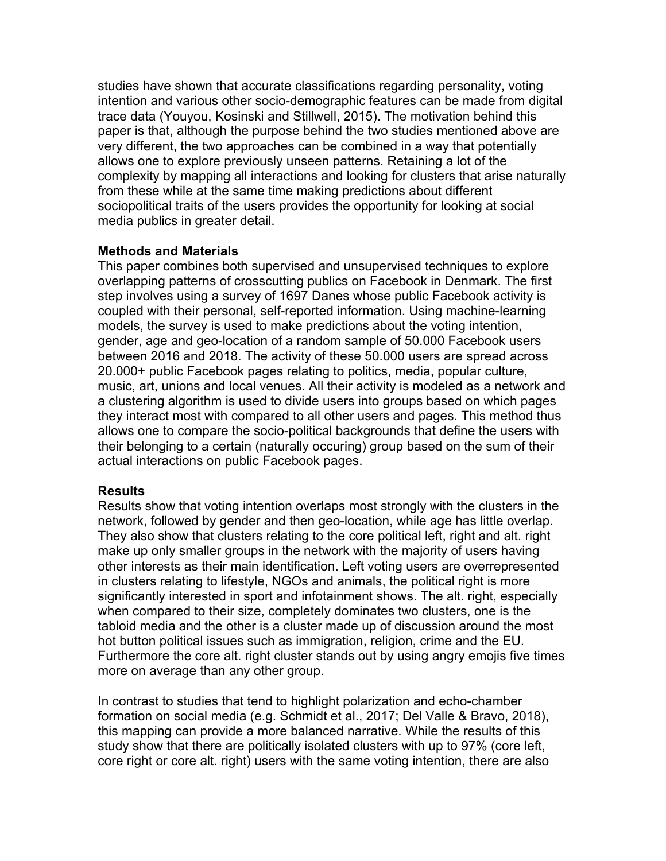studies have shown that accurate classifications regarding personality, voting intention and various other socio-demographic features can be made from digital trace data (Youyou, Kosinski and Stillwell, 2015). The motivation behind this paper is that, although the purpose behind the two studies mentioned above are very different, the two approaches can be combined in a way that potentially allows one to explore previously unseen patterns. Retaining a lot of the complexity by mapping all interactions and looking for clusters that arise naturally from these while at the same time making predictions about different sociopolitical traits of the users provides the opportunity for looking at social media publics in greater detail.

# **Methods and Materials**

This paper combines both supervised and unsupervised techniques to explore overlapping patterns of crosscutting publics on Facebook in Denmark. The first step involves using a survey of 1697 Danes whose public Facebook activity is coupled with their personal, self-reported information. Using machine-learning models, the survey is used to make predictions about the voting intention, gender, age and geo-location of a random sample of 50.000 Facebook users between 2016 and 2018. The activity of these 50.000 users are spread across 20.000+ public Facebook pages relating to politics, media, popular culture, music, art, unions and local venues. All their activity is modeled as a network and a clustering algorithm is used to divide users into groups based on which pages they interact most with compared to all other users and pages. This method thus allows one to compare the socio-political backgrounds that define the users with their belonging to a certain (naturally occuring) group based on the sum of their actual interactions on public Facebook pages.

### **Results**

Results show that voting intention overlaps most strongly with the clusters in the network, followed by gender and then geo-location, while age has little overlap. They also show that clusters relating to the core political left, right and alt. right make up only smaller groups in the network with the majority of users having other interests as their main identification. Left voting users are overrepresented in clusters relating to lifestyle, NGOs and animals, the political right is more significantly interested in sport and infotainment shows. The alt. right, especially when compared to their size, completely dominates two clusters, one is the tabloid media and the other is a cluster made up of discussion around the most hot button political issues such as immigration, religion, crime and the EU. Furthermore the core alt. right cluster stands out by using angry emojis five times more on average than any other group.

In contrast to studies that tend to highlight polarization and echo-chamber formation on social media (e.g. Schmidt et al., 2017; Del Valle & Bravo, 2018), this mapping can provide a more balanced narrative. While the results of this study show that there are politically isolated clusters with up to 97% (core left, core right or core alt. right) users with the same voting intention, there are also